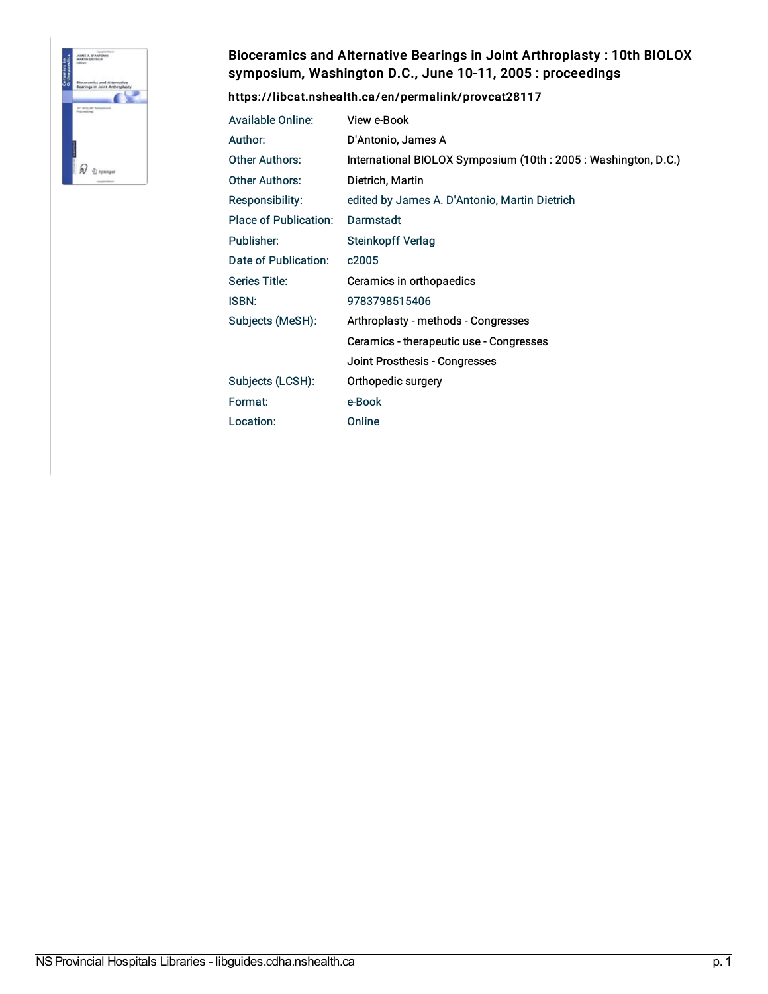

## Bioceramics and Alternative Bearings in Joint Arthroplasty : 10th BIOLOX symposium, Washington D.C., June 10-11, 2005 : proceedings

<https://libcat.nshealth.ca/en/permalink/provcat28117>

| <b>Available Online:</b>     | View e-Book                                                   |
|------------------------------|---------------------------------------------------------------|
| Author:                      | D'Antonio, James A                                            |
| Other Authors:               | International BIOLOX Symposium (10th: 2005: Washington, D.C.) |
| <b>Other Authors:</b>        | Dietrich, Martin                                              |
| <b>Responsibility:</b>       | edited by James A. D'Antonio, Martin Dietrich                 |
| <b>Place of Publication:</b> | Darmstadt                                                     |
| Publisher:                   | <b>Steinkopff Verlag</b>                                      |
| Date of Publication:         | c <sub>2005</sub>                                             |
| Series Title:                | Ceramics in orthopaedics                                      |
| <b>ISBN:</b>                 | 9783798515406                                                 |
| Subjects (MeSH):             | Arthroplasty - methods - Congresses                           |
|                              | Ceramics - therapeutic use - Congresses                       |
|                              | Joint Prosthesis - Congresses                                 |
| Subjects (LCSH):             | Orthopedic surgery                                            |
| Format:                      | e-Book                                                        |
| Location:                    | Online                                                        |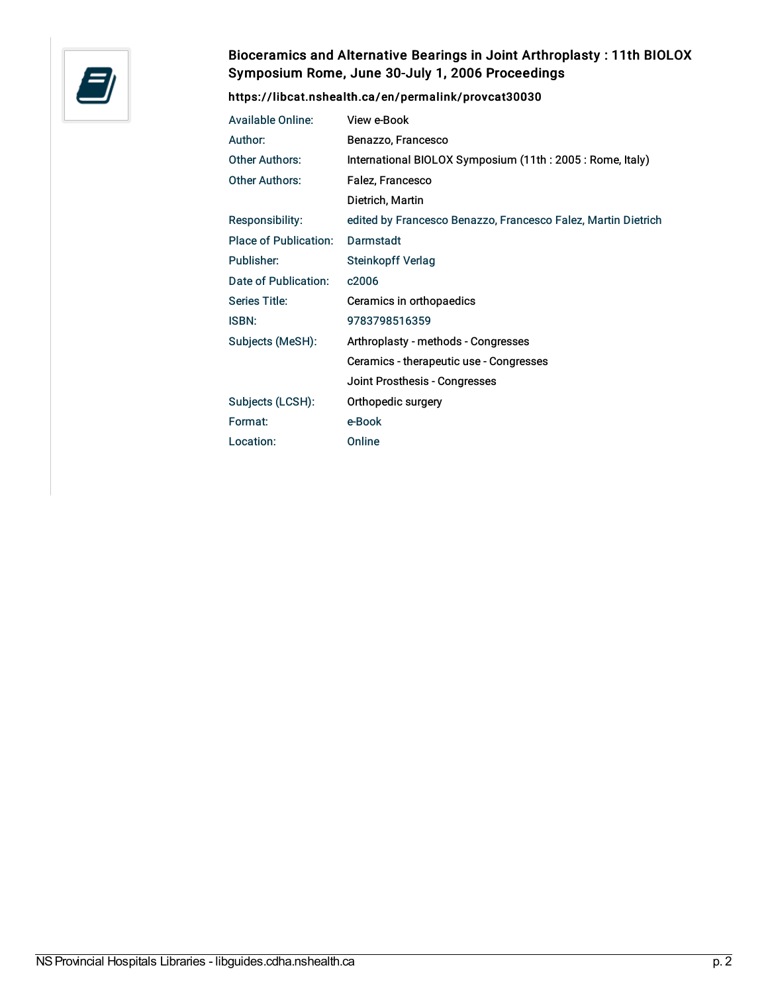

## Bioceramics and Alternative Bearings in Joint Arthroplasty : 11th BIOLOX Symposium Rome, June 30-July 1, 2006 Proceedings

## <https://libcat.nshealth.ca/en/permalink/provcat30030>

| <b>Available Online:</b> | View e-Book                                                   |
|--------------------------|---------------------------------------------------------------|
| Author:                  | Benazzo, Francesco                                            |
| <b>Other Authors:</b>    | International BIOLOX Symposium (11th: 2005: Rome, Italy)      |
| <b>Other Authors:</b>    | Falez, Francesco                                              |
|                          | Dietrich, Martin                                              |
| Responsibility:          | edited by Francesco Benazzo, Francesco Falez, Martin Dietrich |
| Place of Publication:    | Darmstadt                                                     |
| Publisher:               | <b>Steinkopff Verlag</b>                                      |
| Date of Publication:     | c2006                                                         |
| <b>Series Title:</b>     | Ceramics in orthopaedics                                      |
| <b>ISBN:</b>             | 9783798516359                                                 |
| Subjects (MeSH):         | Arthroplasty - methods - Congresses                           |
|                          | Ceramics - therapeutic use - Congresses                       |
|                          | Joint Prosthesis - Congresses                                 |
| Subjects (LCSH):         | Orthopedic surgery                                            |
| Format:                  | e-Book                                                        |
| Location:                | Online                                                        |